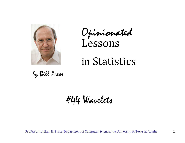

Opinionated Lessons

## in Statistics

by Bill Press

#44 Wavelets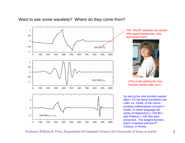

The "DAUB" wavelets are named after Ingrid Daubechies, who discovered them.



(This is like getting the sine function named after you!)

So who is the sine function named after? it's the literal translation into Latin, ca. 1500s, of the corresponding mathematical concept in Arabic, in which language the works of Hipparchus (~150 BC) and Ptolemy (~100 AD) were preserved. The tangent function wasn't invented until the 9<sup>th</sup> Century, in Persia.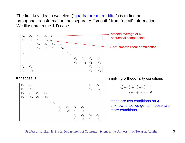The first key idea in wavelets ("quadrature mirror filter") is to find an orthogonal transformation that separates "smooth" from "detail" information. We illustrate in the 1-D case.

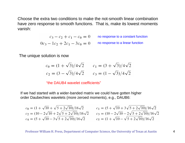Choose the extra two conditions to make the not-smooth linear combination have zero response to smooth functions. That is, make its lowest moments vanish:

$$
c_3 - c_2 + c_1 - c_0 = 0
$$
 no response to a constant function  
0 $c_3 - 1c_2 + 2c_1 - 3c_0 = 0$  no response to a linear function

The unique solution is now

$$
c_0 = (1 + \sqrt{3})/4\sqrt{2} \qquad c_1 = (3 + \sqrt{3})/4\sqrt{2}
$$
  

$$
c_2 = (3 - \sqrt{3})/4\sqrt{2} \qquad c_3 = (1 - \sqrt{3})/4\sqrt{2}
$$

"the DAUB4 wavelet coefficients"

If we had started with a wider-banded matrix we could have gotten higher order Daubechies wavelets (more zeroed moments), e.g., DAUB6:

$$
c_0 = (1 + \sqrt{10} + \sqrt{5 + 2\sqrt{10}})/16\sqrt{2}
$$
  
\n
$$
c_2 = (10 - 2\sqrt{10} + 2\sqrt{5 + 2\sqrt{10}})/16\sqrt{2}
$$
  
\n
$$
c_4 = (5 + \sqrt{10} - 3\sqrt{5 + 2\sqrt{10}})/16\sqrt{2}
$$
  
\n
$$
c_5 = (1 + \sqrt{10} - \sqrt{5 + 2\sqrt{10}})/16\sqrt{2}
$$
  
\n
$$
c_6 = (1 + \sqrt{10} - \sqrt{5 + 2\sqrt{10}})/16\sqrt{2}
$$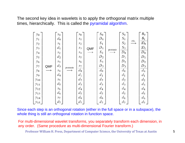The second key idea in wavelets is to apply the orthogonal matrix multiple times, hierarchically. This is called the pyramidal algorithm.

| $y_0$    |     | $S_{0}$        |         | $S_{0}$        |            | $S_0$   |         | $S_0$   |      | $\mathcal{S}_0$  |
|----------|-----|----------------|---------|----------------|------------|---------|---------|---------|------|------------------|
| $y_1$    |     | $d_{0}$        |         | $s_1$          |            | $D_0$   |         | $S_1$   | etc. | $s_{1}$          |
| $y_2$    |     | $s_1$          |         | $s_2$          |            | $S_1$   |         | $S_2$   |      | $\mathcal{D}_0$  |
| $y_3$    |     | $d_1$          |         | s <sub>3</sub> | <b>QMF</b> | $D_1$   | permute | $S_3$   |      | $\mathfrak{D}_1$ |
| $y_4$    |     | $s_2$          |         | $S_4$          |            | $S_2$   |         | $D_0$   |      | $D_0$            |
| $y_5$    |     | $d_2$          |         | $S_5$          |            | $D_2$   |         | $D_1$   |      | $D_1$            |
| $y_{6}$  |     | s <sub>3</sub> |         | $S_6$          |            | $S_3$   |         | $D_2$   |      | $D_{2}$          |
| $y_7$    | QMF | $d_3$          | permute | $S_{7}$        |            | $D_3$   |         | $D_3$   |      | $D_3$            |
| $y_8$    |     | $S_4$          |         | $d_{0}$        |            | $d_{0}$ |         | $d_{0}$ |      | $d_0$            |
| $y_9$    |     | $d_4$          |         | $d_1$          |            | $d_1$   |         | $d_1$   |      | $d_1$            |
| $y_{10}$ |     | $S_5$          |         | $d_2$          |            | $d_2$   |         | $d_2$   |      | $d_2$            |
| $y_{11}$ |     | $d_5$          |         | $d_3$          |            | $d_3$   |         | $d_3$   |      | $d_3$            |
| $y_{12}$ |     | $S_6$          |         | $d_4$          |            | $d_{4}$ |         | $d_4$   |      | $d_4$            |
| $y_{13}$ |     | $d_6$          |         | $d_5$          |            | $d_5$   |         | $d_5$   |      | $d_5$            |
| $y_{14}$ |     | $S_7$          |         | $d_6$          |            | $d_{6}$ |         | $d_6$   |      | $d_6$            |
| $y_{15}$ |     | $d_7$          |         | $d_7$          |            | $d_7$   |         | $d_7$   |      | $d_7$            |

Since each step is an orthogonal rotation (either in the full space or in a subspace), the whole thing is still an orthogonal rotation in function space.

For multi-dimensional wavelet transforms, you separately transform each dimension, in any order. (Same procedure as multi-dimensional Fourier transform.)